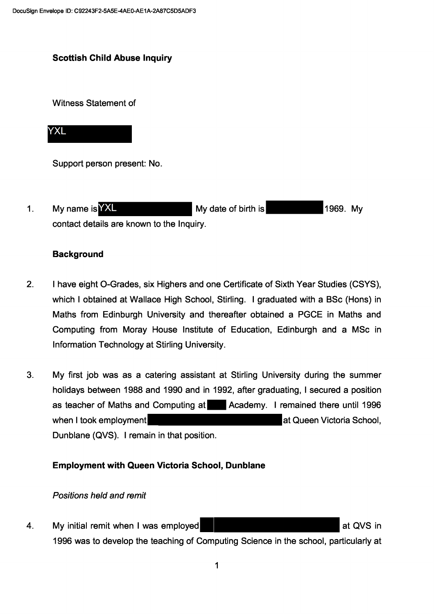## **Scottish Child Abuse Inquiry**

Witness Statement of

# **YXL**

Support person present: No.

My date of birth is  $1<sub>1</sub>$ My name is YXL 1969. My contact details are known to the Inquiry.

#### **Background**

- $2.$ I have eight O-Grades, six Highers and one Certificate of Sixth Year Studies (CSYS), which I obtained at Wallace High School, Stirling. I graduated with a BSc (Hons) in Maths from Edinburgh University and thereafter obtained a PGCE in Maths and Computing from Moray House Institute of Education, Edinburgh and a MSc in Information Technology at Stirling University.
- $3.$ My first job was as a catering assistant at Stirling University during the summer holidays between 1988 and 1990 and in 1992, after graduating, I secured a position as teacher of Maths and Computing at Academy. I remained there until 1996 when I took employment at Queen Victoria School, Dunblane (QVS). I remain in that position.

## **Employment with Queen Victoria School, Dunblane**

#### Positions held and remit

My initial remit when I was employed at QVS in 4. 1996 was to develop the teaching of Computing Science in the school, particularly at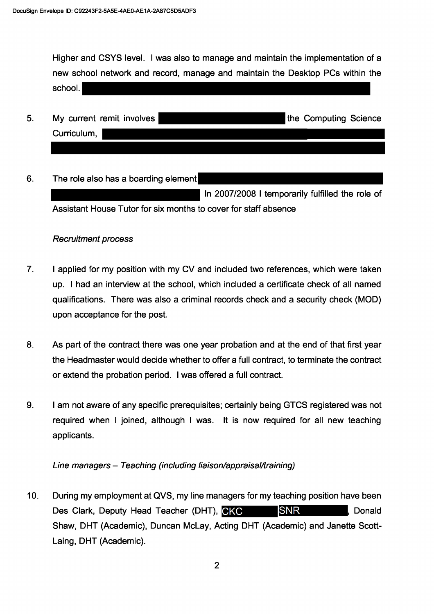Higher and CSYS level. I was also to manage and maintain the implementation of a new school network and record, manage and maintain the Desktop PCs within the school.

| Curriculum, | 5. | My current remit involves | the Computing Science |  |
|-------------|----|---------------------------|-----------------------|--|
|             |    |                           |                       |  |

6. The role also has a boarding element

> In 2007/2008 I temporarily fulfilled the role of Assistant House Tutor for six months to cover for staff absence

#### **Recruitment process**

- $\overline{7}$ . I applied for my position with my CV and included two references, which were taken up. I had an interview at the school, which included a certificate check of all named qualifications. There was also a criminal records check and a security check (MOD) upon acceptance for the post.
- 8. As part of the contract there was one year probation and at the end of that first year the Headmaster would decide whether to offer a full contract, to terminate the contract or extend the probation period. I was offered a full contract.
- 9. I am not aware of any specific prerequisites; certainly being GTCS registered was not required when I joined, although I was. It is now required for all new teaching applicants.

Line managers - Teaching (including liaison/appraisal/training)

 $10.$ During my employment at QVS, my line managers for my teaching position have been Des Clark, Deputy Head Teacher (DHT), CKC **SNR** . Donald Shaw, DHT (Academic), Duncan McLay, Acting DHT (Academic) and Janette Scott-Laing, DHT (Academic).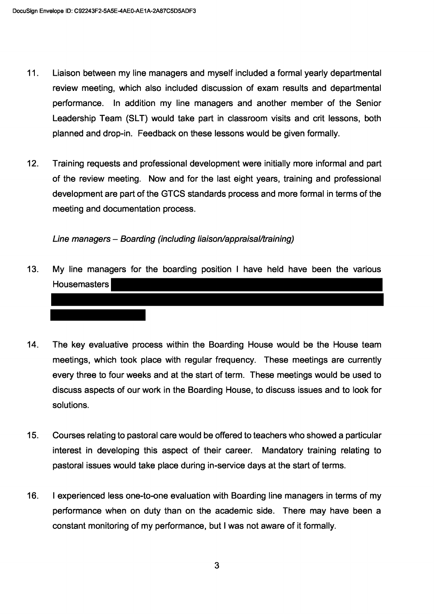- $11.$ Liaison between my line managers and myself included a formal yearly departmental review meeting, which also included discussion of exam results and departmental performance. In addition my line managers and another member of the Senior Leadership Team (SLT) would take part in classroom visits and crit lessons, both planned and drop-in. Feedback on these lessons would be given formally.
- $12.$ Training requests and professional development were initially more informal and part of the review meeting. Now and for the last eight years, training and professional development are part of the GTCS standards process and more formal in terms of the meeting and documentation process.

Line managers - Boarding (including liaison/appraisal/training)

- $13.$ My line managers for the boarding position I have held have been the various **Housemasters**
- $14.$ The key evaluative process within the Boarding House would be the House team meetings, which took place with regular frequency. These meetings are currently every three to four weeks and at the start of term. These meetings would be used to discuss aspects of our work in the Boarding House, to discuss issues and to look for solutions.
- $15.$ Courses relating to pastoral care would be offered to teachers who showed a particular interest in developing this aspect of their career. Mandatory training relating to pastoral issues would take place during in-service days at the start of terms.
- I experienced less one-to-one evaluation with Boarding line managers in terms of my 16. performance when on duty than on the academic side. There may have been a constant monitoring of my performance, but I was not aware of it formally.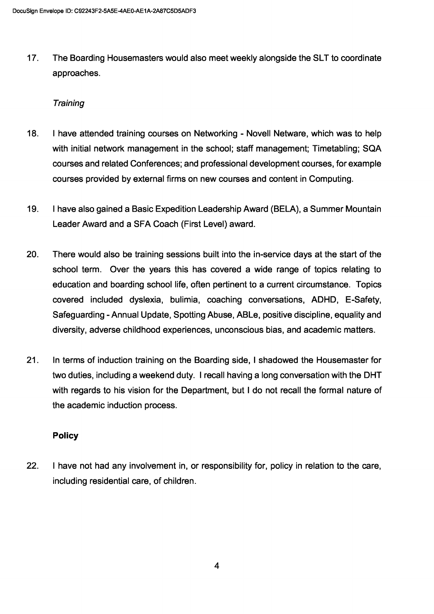17. The Boarding Housemasters would also meet weekly alongside the SLT to coordinate approaches.

## **Training**

- 18. I have attended training courses on Networking Novell Netware, which was to help with initial network management in the school; staff management; Timetabling; SQA courses and related Conferences; and professional development courses, for example courses provided by external firms on new courses and content in Computing.
- 19. I have also gained a Basic Expedition Leadership Award (BELA), a Summer Mountain Leader Award and a SFA Coach (First Level) award.
- 20. There would also be training sessions built into the in-service days at the start of the school term. Over the years this has covered a wide range of topics relating to education and boarding school life, often pertinent to a current circumstance. Topics covered included dyslexia, bulimia, coaching conversations, ADHD, E-Safety, Safeguarding - Annual Update, Spotting Abuse, ABLe, positive discipline, equality and diversity, adverse childhood experiences, unconscious bias, and academic matters.
- 21. In terms of induction training on the Boarding side, I shadowed the Housemaster for two duties, including a weekend duty. I recall having a long conversation with the DHT with regards to his vision for the Department, but I do not recall the formal nature of the academic induction process.

## Policy

22. I have not had any involvement in, or responsibility for, policy in relation to the care, including residential care, of children.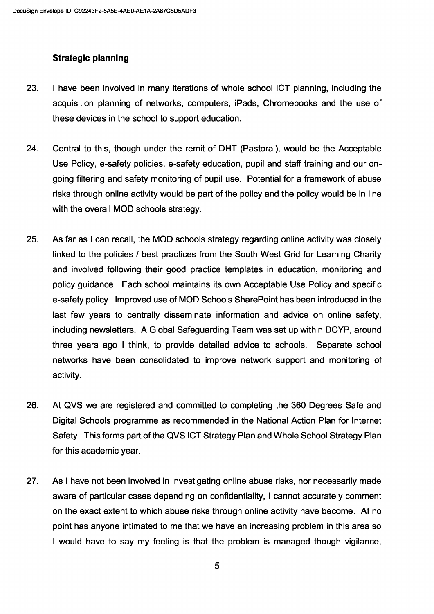## Strategic planning

- 23. I have been involved in many iterations of whole school ICT planning, including the acquisition planning of networks, computers, iPads, Chromebooks and the use of these devices in the school to support education.
- 24. Central to this, though under the remit of DHT (Pastoral), would be the Acceptable Use Policy, e-safety policies, e-safety education, pupil and staff training and our ongoing filtering and safety monitoring of pupil use. Potential for a framework of abuse risks through online activity would be part of the policy and the policy would be in line with the overall MOD schools strategy.
- 25. As far as I can recall, the MOD schools strategy regarding online activity was closely linked to the policies / best practices from the South West Grid for Learning Charity and involved following their good practice templates in education, monitoring and policy guidance. Each school maintains its own Acceptable Use Policy and specific e-safety policy. Improved use of MOD Schools SharePoint has been introduced in the last few years to centrally disseminate information and advice on online safety, including newsletters. A Global Safeguarding Team was set up within DCYP, around three years ago I think, to provide detailed advice to schools. Separate school networks have been consolidated to improve network support and monitoring of activity.
- 26. At QVS we are registered and committed to completing the 360 Degrees Safe and Digital Schools programme as recommended in the National Action Plan for Internet Safety. This forms part of the QVS ICT Strategy Plan and Whole School Strategy Plan for this academic year.
- 27. As I have not been involved in investigating online abuse risks, nor necessarily made aware of particular cases depending on confidentiality, I cannot accurately comment on the exact extent to which abuse risks through online activity have become. At no point has anyone intimated to me that we have an increasing problem in this area so I would have to say my feeling is that the problem is managed though vigilance,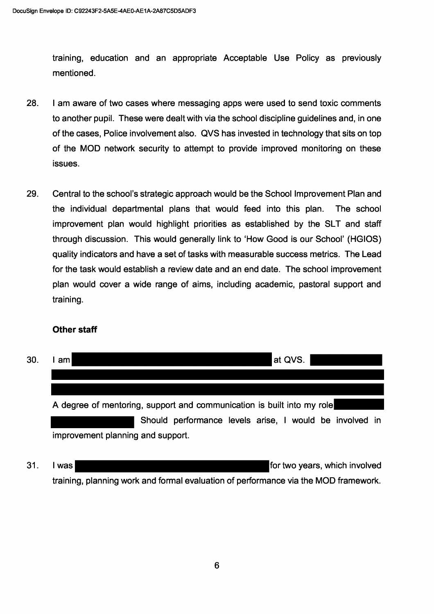training, education and an appropriate Acceptable Use Policy as previously mentioned.

- 28. I am aware of two cases where messaging apps were used to send toxic comments to another pupil. These were dealt with via the school discipline quidelines and, in one of the cases, Police involvement also. QVS has invested in technology that sits on top of the MOD network security to attempt to provide improved monitoring on these issues.
- 29. Central to the school's strategic approach would be the School Improvement Plan and the individual departmental plans that would feed into this plan. The school improvement plan would highlight priorities as established by the SLT and staff through discussion. This would generally link to 'How Good is our School' (HGIOS) quality indicators and have a set of tasks with measurable success metrics. The Lead for the task would establish a review date and an end date. The school improvement plan would cover a wide range of aims, including academic, pastoral support and training.

## **Other staff**

| 30. | ∣at QVS.<br>am                                                         |  |  |  |  |  |
|-----|------------------------------------------------------------------------|--|--|--|--|--|
|     |                                                                        |  |  |  |  |  |
|     |                                                                        |  |  |  |  |  |
|     | A degree of mentoring, support and communication is built into my role |  |  |  |  |  |
|     | Should performance levels arise, I would be involved in                |  |  |  |  |  |
|     | improvement planning and support.                                      |  |  |  |  |  |

31. for two years, which involved I was training, planning work and formal evaluation of performance via the MOD framework.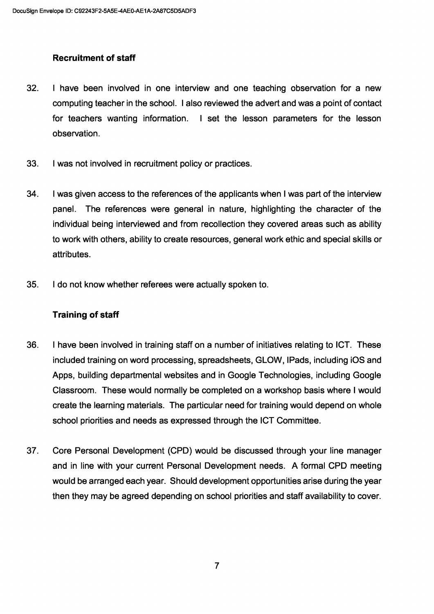# Recruitment of staff

- 32. I have been involved in one interview and one teaching observation for a new computing teacher in the school. I also reviewed the advert and was a point of contact for teachers wanting information. I set the lesson parameters for the lesson observation.
- 33. I was not involved in recruitment policy or practices.
- 34. I was given access to the references of the applicants when I was part of the interview panel. The references were general in nature, highlighting the character of the individual being interviewed and from recollection they covered areas such as ability to work with others, ability to create resources, general work ethic and special skills or attributes.
- 35. I do not know whether referees were actually spoken to.

## Training of staff

- 36. I have been involved in training staff on a number of initiatives relating to ICT. These included training on word processing, spreadsheets, GLOW, !Pads, including iOS and Apps, building departmental websites and in Google Technologies, including Google Classroom. These would normally be completed on a workshop basis where I would create the learning materials. The particular need for training would depend on whole school priorities and needs as expressed through the ICT Committee.
- 37. Core Personal Development (CPD) would be discussed through your line manager and in line with your current Personal Development needs. A formal CPD meeting would be arranged each year. Should development opportunities arise during the year then they may be agreed depending on school priorities and staff availability to cover.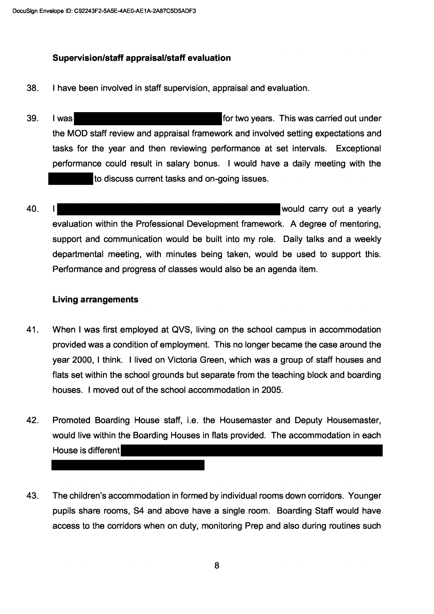## Supervision/staff appraisal/staff evaluation

- 38. I have been involved in staff supervision, appraisal and evaluation.
- 39. I wasl for two years. This was carried out under the MOD staff review and appraisal framework and involved setting expectations and tasks for the year and then reviewing performance at set intervals. Exceptional performance could result in salary bonus. I would have a daily meeting with the to discuss current tasks and on-going issues.
- 40. would carry out a yearly evaluation within the Professional Development framework. A degree of mentoring, support and communication would be built into my role. Daily talks and a weekly departmental meeting, with minutes being taken, would be used to support this. Performance and progress of classes would also be an agenda item.

#### **Living arrangements**

- 41. When I was first employed at QVS, living on the school campus in accommodation provided was a condition of employment. This no longer became the case around the year 2000, I think. I lived on Victoria Green, which was a group of staff houses and flats set within the school grounds but separate from the teaching block and boarding houses. I moved out of the school accommodation in 2005.
- 42. Promoted Boarding House staff, i.e. the Housemaster and Deputy Housemaster, would live within the Boarding Houses in flats provided. The accommodation in each House is different
- The children's accommodation in formed by individual rooms down corridors. Younger 43. pupils share rooms, S4 and above have a single room. Boarding Staff would have access to the corridors when on duty, monitoring Prep and also during routines such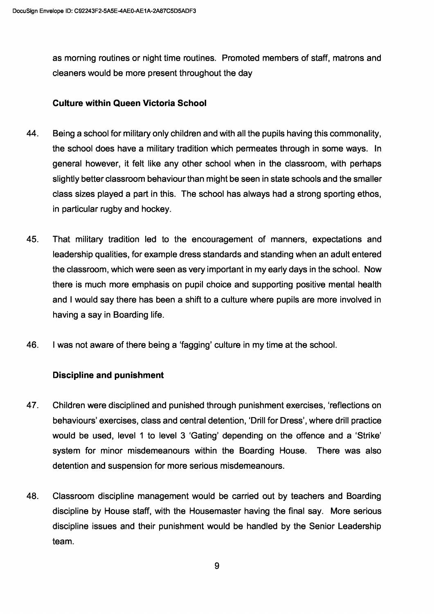as morning routines or night time routines. Promoted members of staff, matrons and cleaners would be more present throughout the day

## Culture within Queen Victoria School

- 44. Being a school for military only children and with all the pupils having this commonality, the school does have a military tradition which permeates through in some ways. In general however, it felt like any other school when in the classroom, with perhaps slightly better classroom behaviour than might be seen in state schools and the smaller class sizes played a part in this. The school has always had a strong sporting ethos, in particular rugby and hockey.
- 45. That military tradition led to the encouragement of manners, expectations and leadership qualities, for example dress standards and standing when an adult entered the classroom, which were seen as very important in my early days in the school. Now there is much more emphasis on pupil choice and supporting positive mental health and I would say there has been a shift to a culture where pupils are more involved in having a say in Boarding life.
- 46. I was not aware of there being a 'fagging' culture in my time at the school.

#### Discipline and punishment

- 47. Children were disciplined and punished through punishment exercises, 'reflections on behaviours' exercises, class and central detention, 'Drill for Dress', where drill practice would be used, level 1 to level 3 'Gating' depending on the offence and a 'Strike' system for minor misdemeanours within the Boarding House. There was also detention and suspension for more serious misdemeanours.
- 48. Classroom discipline management would be carried out by teachers and Boarding discipline by House staff, with the Housemaster having the final say. More serious discipline issues and their punishment would be handled by the Senior Leadership team.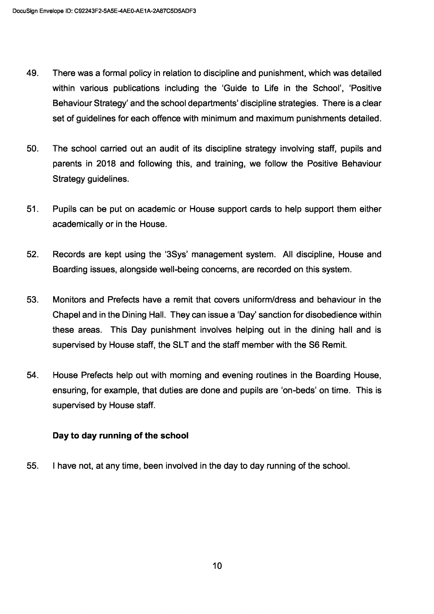- 49. There was a formal policy in relation to discipline and punishment, which was detailed within various publications including the 'Guide to Life in the School', 'Positive Behaviour Strategy' and the school departments' discipline strategies. There is a clear set of guidelines for each offence with minimum and maximum punishments detailed.
- 50. The school carried out an audit of its discipline strategy involving staff, pupils and parents in 2018 and following this, and training, we follow the Positive Behaviour Strategy guidelines.
- 51. Pupils can be put on academic or House support cards to help support them either academically or in the House.
- 52. Records are kept using the `35ys' management system. All discipline, House and Boarding issues, alongside well-being concerns, are recorded on this system.
- 53. Monitors and Prefects have a remit that covers uniform/dress and behaviour in the Chapel and in the Dining Hall. They can issue a 'Day' sanction for disobedience within these areas. This Day punishment involves helping out in the dining hall and is supervised by House staff, the SLT and the staff member with the S6 Remit.
- 54. House Prefects help out with morning and evening routines in the Boarding House, ensuring, for example, that duties are done and pupils are 'on-beds' on time. This is supervised by House staff.

## Day to day running of the school

55. I have not, at any time, been involved in the day to day running of the school.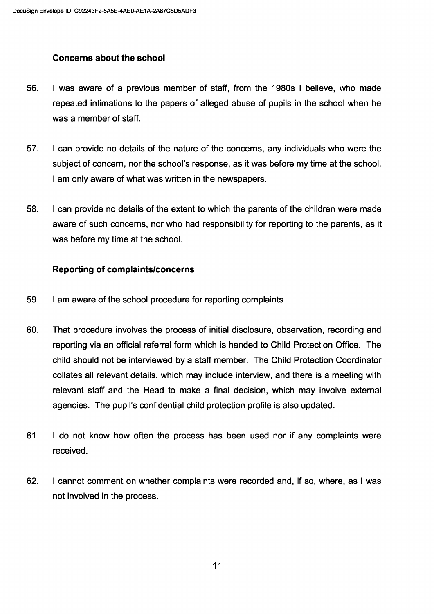## Concerns about the school

- 56. I was aware of a previous member of staff, from the 1980s I believe, who made repeated intimations to the papers of alleged abuse of pupils in the school when he was a member of staff.
- 57. I can provide no details of the nature of the concerns, any individuals who were the subject of concern, nor the school's response, as it was before my time at the school. I am only aware of what was written in the newspapers.
- 58. I can provide no details of the extent to which the parents of the children were made aware of such concerns, nor who had responsibility for reporting to the parents, as it was before my time at the school.

## Reporting of complaints/concerns

- 59. I am aware of the school procedure for reporting complaints.
- 60. That procedure involves the process of initial disclosure, observation, recording and reporting via an official referral form which is handed to Child Protection Office. The child should not be interviewed by a staff member. The Child Protection Coordinator collates all relevant details, which may include interview, and there is a meeting with relevant staff and the Head to make a final decision, which may involve external agencies. The pupil's confidential child protection profile is also updated.
- 61. I do not know how often the process has been used nor if any complaints were received.
- 62. I cannot comment on whether complaints were recorded and, if so, where, as I was not involved in the process.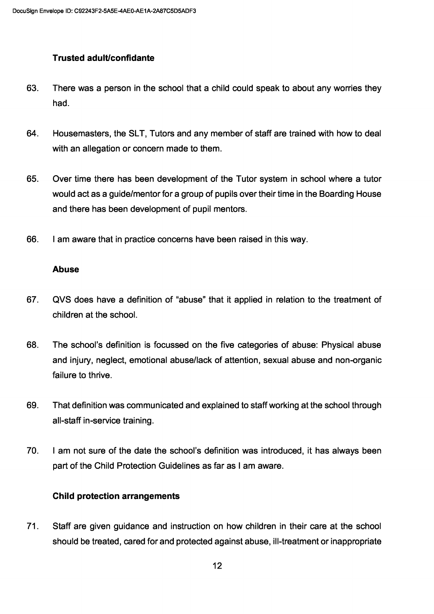## Trusted adult/confidante

- 63. There was a person in the school that a child could speak to about any worries they had.
- 64. Housemasters, the SLT, Tutors and any member of staff are trained with how to deal with an allegation or concern made to them.
- 65. Over time there has been development of the Tutor system in school where a tutor would act as a guide/mentor for a group of pupils over their time in the Boarding House and there has been development of pupil mentors.
- 66. I am aware that in practice concerns have been raised in this way.

## Abuse

- 67. QVS does have a definition of "abuse" that it applied in relation to the treatment of children at the school.
- 68. The school's definition is focussed on the five categories of abuse: Physical abuse and injury, neglect, emotional abuse/lack of attention, sexual abuse and non-organic failure to thrive.
- 69. That definition was communicated and explained to staff working at the school through all-staff in-service training.
- 70. I am not sure of the date the school's definition was introduced, it has always been part of the Child Protection Guidelines as far as I am aware.

## Child protection arrangements

71. Staff are given guidance and instruction on how children in their care at the school should be treated, cared for and protected against abuse, ill-treatment or inappropriate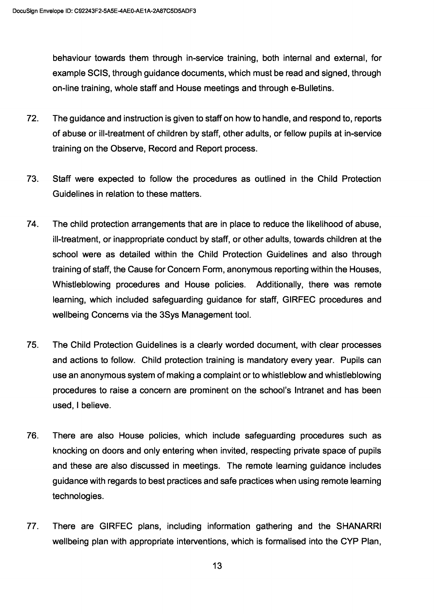behaviour towards them through in-service training, both internal and external, for example SCIS, through guidance documents, which must be read and signed, through on-line training, whole staff and House meetings and through e-Bulletins.

- 72. The guidance and instruction is given to staff on how to handle, and respond to, reports of abuse or ill-treatment of children by staff, other adults, or fellow pupils at in-service training on the Observe, Record and Report process.
- 73. Staff were expected to follow the procedures as outlined in the Child Protection Guidelines in relation to these matters.
- 74. The child protection arrangements that are in place to reduce the likelihood of abuse, ill-treatment, or inappropriate conduct by staff, or other adults, towards children at the school were as detailed within the Child Protection Guidelines and also through training of staff, the Cause for Concern Form, anonymous reporting within the Houses, Whistleblowing procedures and House policies. Additionally, there was remote learning, which included safeguarding guidance for staff, GIRFEC procedures and wellbeing Concerns via the 35ys Management tool.
- 75. The Child Protection Guidelines is a clearly worded document, with clear processes and actions to follow. Child protection training is mandatory every year. Pupils can use an anonymous system of making a complaint or to whistleblow and whistleblowing procedures to raise a concern are prominent on the school's Intranet and has been used, I believe.
- 76. There are also House policies, which include safeguarding procedures such as knocking on doors and only entering when invited, respecting private space of pupils and these are also discussed in meetings. The remote learning guidance includes guidance with regards to best practices and safe practices when using remote learning technologies.
- 77. There are GIRFEC plans, including information gathering and the SHANARRI wellbeing plan with appropriate interventions, which is formalised into the CYP Plan,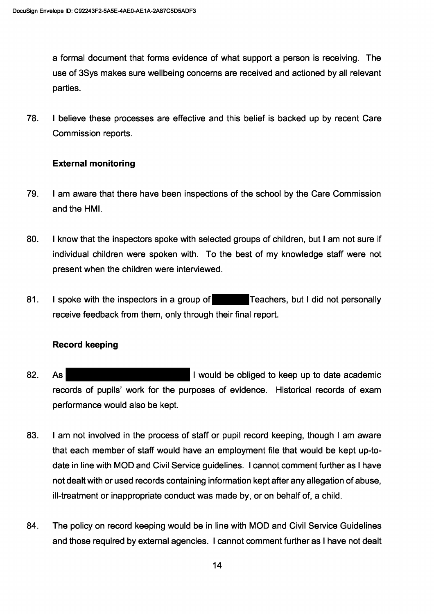a formal document that forms evidence of what support a person is receiving. The use of 3Sys makes sure wellbeing concerns are received and actioned by all relevant parties.

78. I believe these processes are effective and this belief is backed up by recent Care Commission reports.

## **External monitoring**

- 79. I am aware that there have been inspections of the school by the Care Commission and the HMI.
- 80. I know that the inspectors spoke with selected groups of children, but I am not sure if individual children were spoken with. To the best of my knowledge staff were not present when the children were interviewed.
- 81. I spoke with the inspectors in a group of **Teachers**, but I did not personally receive feedback from them, only through their final report.

## **Record keeping**

- 82.  $As<sub>1</sub>$ I would be obliged to keep up to date academic records of pupils' work for the purposes of evidence. Historical records of exam performance would also be kept.
- 83. I am not involved in the process of staff or pupil record keeping, though I am aware that each member of staff would have an employment file that would be kept up-todate in line with MOD and Civil Service guidelines. I cannot comment further as I have not dealt with or used records containing information kept after any allegation of abuse, ill-treatment or inappropriate conduct was made by, or on behalf of, a child.
- 84. The policy on record keeping would be in line with MOD and Civil Service Guidelines and those required by external agencies. I cannot comment further as I have not dealt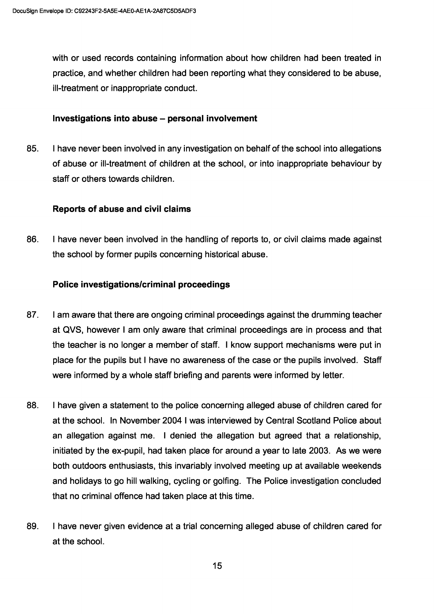with or used records containing information about how children had been treated in practice, and whether children had been reporting what they considered to be abuse, ill-treatment or inappropriate conduct.

#### Investigations into abuse — personal involvement

85. I have never been involved in any investigation on behalf of the school into allegations of abuse or ill-treatment of children at the school, or into inappropriate behaviour by staff or others towards children.

#### Reports of abuse and civil claims

86. I have never been involved in the handling of reports to, or civil claims made against the school by former pupils concerning historical abuse.

#### Police investigations/criminal proceedings

- 87. I am aware that there are ongoing criminal proceedings against the drumming teacher at QVS, however I am only aware that criminal proceedings are in process and that the teacher is no longer a member of staff. I know support mechanisms were put in place for the pupils but I have no awareness of the case or the pupils involved. Staff were informed by a whole staff briefing and parents were informed by letter.
- 88. I have given a statement to the police concerning alleged abuse of children cared for at the school. In November 2004 I was interviewed by Central Scotland Police about an allegation against me. I denied the allegation but agreed that a relationship, initiated by the ex-pupil, had taken place for around a year to late 2003. As we were both outdoors enthusiasts, this invariably involved meeting up at available weekends and holidays to go hill walking, cycling or golfing. The Police investigation concluded that no criminal offence had taken place at this time.
- 89. I have never given evidence at a trial concerning alleged abuse of children cared for at the school.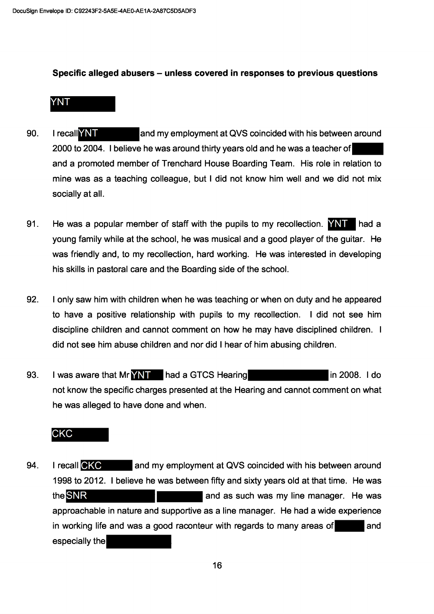#### Specific alleged abusers – unless covered in responses to previous questions

## **YNT**

- 90. I recallYNT and my employment at QVS coincided with his between around 2000 to 2004. I believe he was around thirty years old and he was a teacher of and a promoted member of Trenchard House Boarding Team. His role in relation to mine was as a teaching colleague, but I did not know him well and we did not mix socially at all.
- 91. He was a popular member of staff with the pupils to my recollection.  $\overline{NNT}$  had a young family while at the school, he was musical and a good player of the guitar. He was friendly and, to my recollection, hard working. He was interested in developing his skills in pastoral care and the Boarding side of the school.
- 92. I only saw him with children when he was teaching or when on duty and he appeared to have a positive relationship with pupils to my recollection. I did not see him discipline children and cannot comment on how he may have disciplined children. I did not see him abuse children and nor did I hear of him abusing children.
- 93. I was aware that Mr **YNT** had a GTCS Hearing in 2008. I do not know the specific charges presented at the Hearing and cannot comment on what he was alleged to have done and when.

# CKC

94. I recall CKC and my employment at QVS coincided with his between around 1998 to 2012. I believe he was between fifty and sixty years old at that time. He was the SNR and as such was my line manager. He was approachable in nature and supportive as a line manager. He had a wide experience in working life and was a good raconteur with regards to many areas of and especially the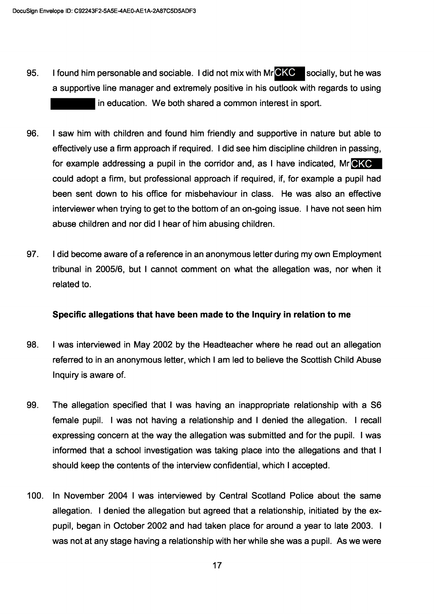- I found him personable and sociable. I did not mix with MrCKC socially, but he was 95. a supportive line manager and extremely positive in his outlook with regards to using in education. We both shared a common interest in sport.
- 96. I saw him with children and found him friendly and supportive in nature but able to effectively use a firm approach if required. I did see him discipline children in passing, for example addressing a pupil in the corridor and, as I have indicated, MrCKC could adopt a firm, but professional approach if required, if, for example a pupil had been sent down to his office for misbehaviour in class. He was also an effective interviewer when trying to get to the bottom of an on-going issue. I have not seen him abuse children and nor did I hear of him abusing children.
- 97. I did become aware of a reference in an anonymous letter during my own Employment tribunal in 2005/6, but I cannot comment on what the allegation was, nor when it related to.

#### Specific allegations that have been made to the Inquiry in relation to me

- 98. I was interviewed in May 2002 by the Headteacher where he read out an allegation referred to in an anonymous letter, which I am led to believe the Scottish Child Abuse Inquiry is aware of.
- 99. The allegation specified that I was having an inappropriate relationship with a S6 female pupil. I was not having a relationship and I denied the allegation. I recall expressing concern at the way the allegation was submitted and for the pupil. I was informed that a school investigation was taking place into the allegations and that I should keep the contents of the interview confidential, which I accepted.
- In November 2004 I was interviewed by Central Scotland Police about the same  $100.$ allegation. I denied the allegation but agreed that a relationship, initiated by the expupil, began in October 2002 and had taken place for around a year to late 2003. I was not at any stage having a relationship with her while she was a pupil. As we were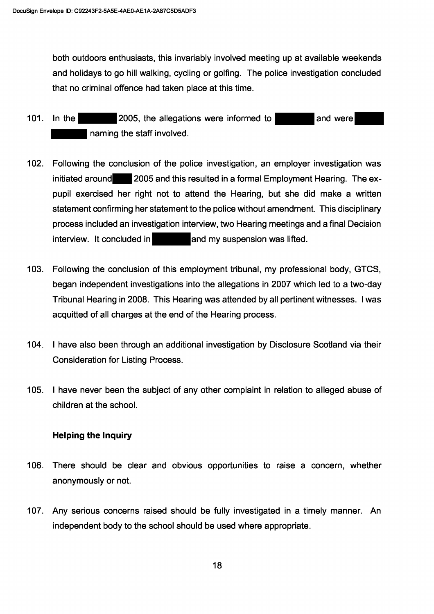both outdoors enthusiasts, this invariably involved meeting up at available weekends and holidays to go hill walking, cycling or golfing. The police investigation concluded that no criminal offence had taken place at this time.

- $101.$ 2005, the allegations were informed to and were In the naming the staff involved.
- Following the conclusion of the police investigation, an employer investigation was  $102.$ initiated around 2005 and this resulted in a formal Employment Hearing. The expupil exercised her right not to attend the Hearing, but she did make a written statement confirming her statement to the police without amendment. This disciplinary process included an investigation interview, two Hearing meetings and a final Decision interview. It concluded in and my suspension was lifted.
- 103. Following the conclusion of this employment tribunal, my professional body, GTCS, began independent investigations into the allegations in 2007 which led to a two-day Tribunal Hearing in 2008. This Hearing was attended by all pertinent witnesses. I was acquitted of all charges at the end of the Hearing process.
- 104. I have also been through an additional investigation by Disclosure Scotland via their **Consideration for Listing Process.**
- 105. I have never been the subject of any other complaint in relation to alleged abuse of children at the school.

## **Helping the Inquiry**

- 106. There should be clear and obvious opportunities to raise a concern, whether anonymously or not.
- 107. Any serious concerns raised should be fully investigated in a timely manner. An independent body to the school should be used where appropriate.